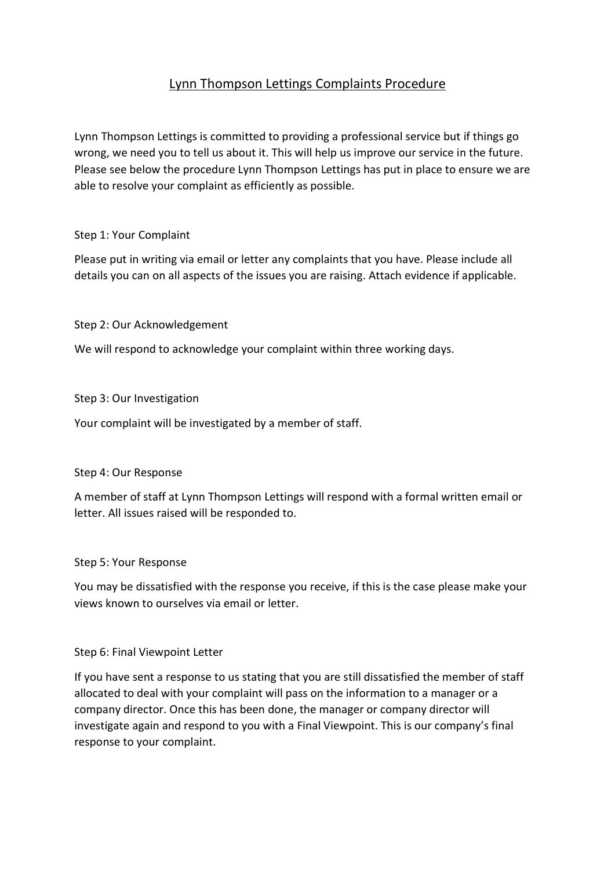# Lynn Thompson Lettings Complaints Procedure

Lynn Thompson Lettings is committed to providing a professional service but if things go wrong, we need you to tell us about it. This will help us improve our service in the future. Please see below the procedure Lynn Thompson Lettings has put in place to ensure we are able to resolve your complaint as efficiently as possible.

## Step 1: Your Complaint

Please put in writing via email or letter any complaints that you have. Please include all details you can on all aspects of the issues you are raising. Attach evidence if applicable.

Step 2: Our Acknowledgement

We will respond to acknowledge your complaint within three working days.

Step 3: Our Investigation

Your complaint will be investigated by a member of staff.

Step 4: Our Response

A member of staff at Lynn Thompson Lettings will respond with a formal written email or letter. All issues raised will be responded to.

#### Step 5: Your Response

You may be dissatisfied with the response you receive, if this is the case please make your views known to ourselves via email or letter.

# Step 6: Final Viewpoint Letter

If you have sent a response to us stating that you are still dissatisfied the member of staff allocated to deal with your complaint will pass on the information to a manager or a company director. Once this has been done, the manager or company director will investigate again and respond to you with a Final Viewpoint. This is our company's final response to your complaint.